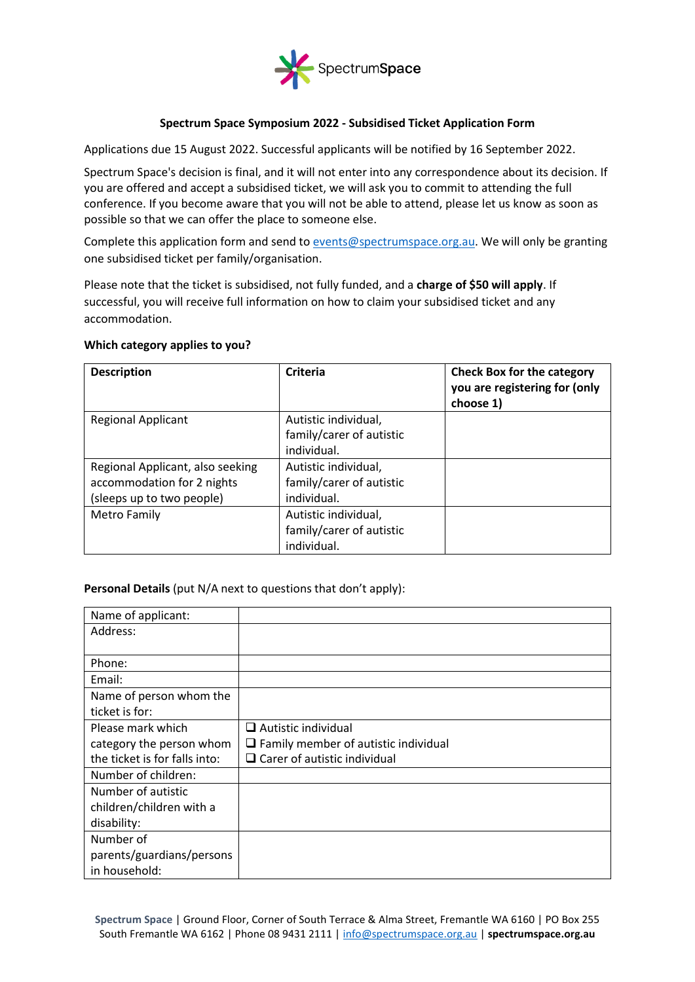

## **Spectrum Space Symposium 2022 - Subsidised Ticket Application Form**

Applications due 15 August 2022. Successful applicants will be notified by 16 September 2022.

Spectrum Space's decision is final, and it will not enter into any correspondence about its decision. If you are offered and accept a subsidised ticket, we will ask you to commit to attending the full conference. If you become aware that you will not be able to attend, please let us know as soon as possible so that we can offer the place to someone else.

Complete this application form and send to [events@spectrumspace.org.au.](mailto:events@spectrumspace.org.au) We will only be granting one subsidised ticket per family/organisation.

Please note that the ticket is subsidised, not fully funded, and a **charge of \$50 will apply**. If successful, you will receive full information on how to claim your subsidised ticket and any accommodation.

## **Which category applies to you?**

| <b>Description</b>               | Criteria                 | <b>Check Box for the category</b><br>you are registering for (only<br>choose 1) |
|----------------------------------|--------------------------|---------------------------------------------------------------------------------|
| <b>Regional Applicant</b>        | Autistic individual,     |                                                                                 |
|                                  | family/carer of autistic |                                                                                 |
|                                  | individual.              |                                                                                 |
| Regional Applicant, also seeking | Autistic individual,     |                                                                                 |
| accommodation for 2 nights       | family/carer of autistic |                                                                                 |
| (sleeps up to two people)        | individual.              |                                                                                 |
| Metro Family                     | Autistic individual,     |                                                                                 |
|                                  | family/carer of autistic |                                                                                 |
|                                  | individual.              |                                                                                 |

**Personal Details** (put N/A next to questions that don't apply):

| Name of applicant:            |                                             |
|-------------------------------|---------------------------------------------|
| Address:                      |                                             |
|                               |                                             |
| Phone:                        |                                             |
| Email:                        |                                             |
| Name of person whom the       |                                             |
| ticket is for:                |                                             |
| Please mark which             | $\Box$ Autistic individual                  |
| category the person whom      | $\Box$ Family member of autistic individual |
| the ticket is for falls into: | $\Box$ Carer of autistic individual         |
| Number of children:           |                                             |
| Number of autistic            |                                             |
| children/children with a      |                                             |
| disability:                   |                                             |
| Number of                     |                                             |
| parents/guardians/persons     |                                             |
| in household:                 |                                             |

**Spectrum Space** | Ground Floor, Corner of South Terrace & Alma Street, Fremantle WA 6160 | PO Box 255 South Fremantle WA 6162 | Phone 08 9431 2111 | [info@spectrumspace.org.au](mailto:info@spectrumspace.org.au) | **spectrumspace.org.au**